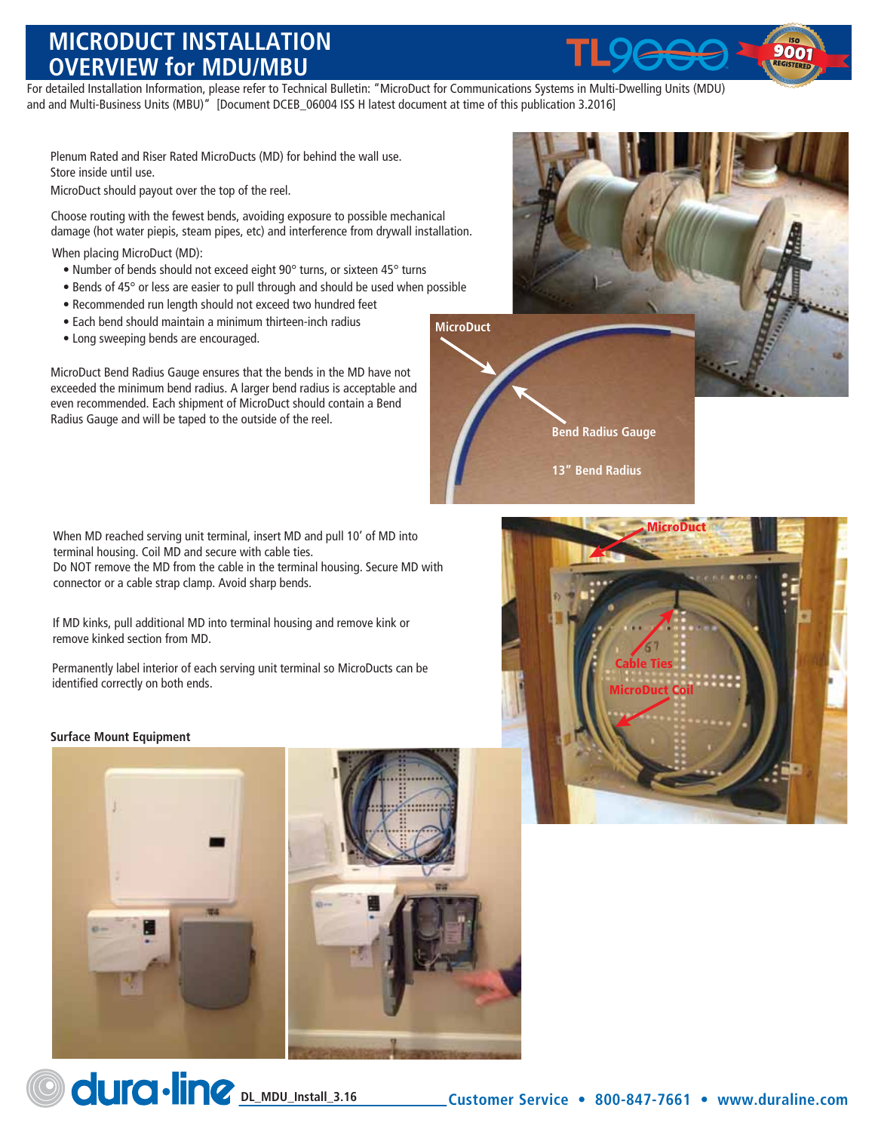## **MICRODUCT INSTALLATION OVERVIEW for MDU/MBU**

For detailed Installation Information, please refer to Technical Bulletin: "MicroDuct for Communications Systems in Multi-Dwelling Units (MDU) and and Multi-Business Units (MBU)" [Document DCEB\_06004 ISS H latest document at time of this publication 3.2016]

Plenum Rated and Riser Rated MicroDucts (MD) for behind the wall use. Store inside until use.

MicroDuct should payout over the top of the reel.

Choose routing with the fewest bends, avoiding exposure to possible mechanical damage (hot water piepis, steam pipes, etc) and interference from drywall installation.

When placing MicroDuct (MD):

- Number of bends should not exceed eight 90° turns, or sixteen 45° turns
- Bends of 45° or less are easier to pull through and should be used when possible
- Recommended run length should not exceed two hundred feet
- Each bend should maintain a minimum thirteen-inch radius
- Long sweeping bends are encouraged.

MicroDuct Bend Radius Gauge ensures that the bends in the MD have not exceeded the minimum bend radius. A larger bend radius is acceptable and even recommended. Each shipment of MicroDuct should contain a Bend Radius Gauge and will be taped to the outside of the reel.

When MD reached serving unit terminal, insert MD and pull 10' of MD into terminal housing. Coil MD and secure with cable ties. Do NOT remove the MD from the cable in the terminal housing. Secure MD with connector or a cable strap clamp. Avoid sharp bends.

If MD kinks, pull additional MD into terminal housing and remove kink or remove kinked section from MD.

Permanently label interior of each serving unit terminal so MicroDucts can be identified correctly on both ends.

## **Surface Mount Equipment**





**Customer Service • 800-847-7661 • www.duraline.com**





**MicroDuct**

**Bend Radius Gauge**

**13" Bend Radius**



**Delaya Computer Computer Computer Computer Computer Computer Computer Computer Computer Computer Computer Computer Computer Computer Computer Computer Computer Computer Computer Computer Computer Computer Computer Compute**